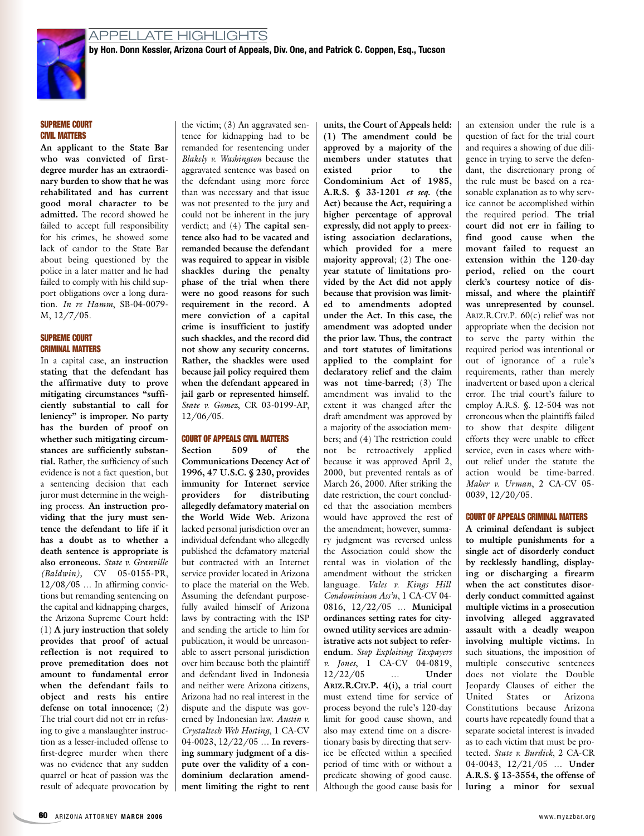

# **SUPREME COURT CIVIL MATTERS**

**An applicant to the State Bar who was convicted of firstdegree murder has an extraordinary burden to show that he was rehabilitated and has current good moral character to be admitted.** The record showed he failed to accept full responsibility for his crimes, he showed some lack of candor to the State Bar about being questioned by the police in a later matter and he had failed to comply with his child support obligations over a long duration. *In re Hamm*, SB-04-0079- M, 12/7/05.

## **SUPREME COURT CRIMINAL MATTERS**

In a capital case, **an instruction stating that the defendant has the affirmative duty to prove mitigating circumstances "sufficiently substantial to call for leniency" is improper. No party has the burden of proof on whether such mitigating circumstances are sufficiently substantial.** Rather, the sufficiency of such evidence is not a fact question, but a sentencing decision that each juror must determine in the weighing process. **An instruction providing that the jury must sentence the defendant to life if it has a doubt as to whether a death sentence is appropriate is also erroneous.** *State v. Granville (Baldwin),* CV 05-0155-PR, 12/08/05 … In affirming convictions but remanding sentencing on the capital and kidnapping charges, the Arizona Supreme Court held: (1) **A jury instruction that solely provides that proof of actual reflection is not required to prove premeditation does not amount to fundamental error when the defendant fails to object and rests his entire defense on total innocence;** (2) The trial court did not err in refusing to give a manslaughter instruction as a lesser-included offense to first-degree murder when there was no evidence that any sudden quarrel or heat of passion was the result of adequate provocation by

the victim; (3) An aggravated sentence for kidnapping had to be remanded for resentencing under *Blakely v. Washington* because the aggravated sentence was based on the defendant using more force than was necessary and that issue was not presented to the jury and could not be inherent in the jury verdict; and (4) **The capital sentence also had to be vacated and remanded because the defendant was required to appear in visible shackles during the penalty phase of the trial when there were no good reasons for such requirement in the record. A mere conviction of a capital crime is insufficient to justify such shackles, and the record did not show any security concerns. Rather, the shackles were used because jail policy required them when the defendant appeared in jail garb or represented himself.** *State v. Gomez*, CR 03-0199-AP, 12/06/05.

#### **COURT OF APPEALS CIVIL MATTERS**

**Section 509 of the Communications Decency Act of 1996, 47 U.S.C. § 230, provides immunity for Internet service providers for distributing allegedly defamatory material on the World Wide Web.** Arizona lacked personal jurisdiction over an individual defendant who allegedly published the defamatory material but contracted with an Internet service provider located in Arizona to place the material on the Web. Assuming the defendant purposefully availed himself of Arizona laws by contracting with the ISP and sending the article to him for publication, it would be unreasonable to assert personal jurisdiction over him because both the plaintiff and defendant lived in Indonesia and neither were Arizona citizens, Arizona had no real interest in the dispute and the dispute was governed by Indonesian law. *Austin v. Crystaltech Web Hosting*, 1 CA-CV 04-0023, 12/22/05 … **In reversing summary judgment of a dispute over the validity of a condominium declaration amendment limiting the right to rent**

**units, the Court of Appeals held: (1) The amendment could be approved by a majority of the members under statutes that existed prior to the Condominium Act of 1985, A.R.S. § 33-1201** *et seq.* **(the Act) because the Act, requiring a higher percentage of approval expressly, did not apply to preexisting association declarations, which provided for a mere majority approval**; (2) **The oneyear statute of limitations provided by the Act did not apply because that provision was limited to amendments adopted under the Act. In this case, the amendment was adopted under the prior law. Thus, the contract and tort statutes of limitations applied to the complaint for declaratory relief and the claim was not time-barred;** (3) The amendment was invalid to the extent it was changed after the draft amendment was approved by a majority of the association members; and (4) The restriction could not be retroactively applied because it was approved April 2, 2000, but prevented rentals as of March 26, 2000. After striking the date restriction, the court concluded that the association members would have approved the rest of the amendment; however, summary judgment was reversed unless the Association could show the rental was in violation of the amendment without the stricken language. *Vales v. Kings Hill Condominium Ass'n*, 1 CA-CV 04- 0816, 12/22/05 … **Municipal ordinances setting rates for cityowned utility services are administrative acts not subject to referendum***. Stop Exploiting Taxpayers v. Jones*, 1 CA-CV 04-0819, 12/22/05 … **Under ARIZ.R.CIV.P. 4(i),** a trial court must extend time for service of process beyond the rule's 120-day limit for good cause shown, and also may extend time on a discretionary basis by directing that service be effected within a specified period of time with or without a predicate showing of good cause. Although the good cause basis for an extension under the rule is a question of fact for the trial court and requires a showing of due diligence in trying to serve the defendant, the discretionary prong of the rule must be based on a reasonable explanation as to why service cannot be accomplished within the required period. **The trial court did not err in failing to find good cause when the movant failed to request an extension within the 120-day period, relied on the court clerk's courtesy notice of dismissal, and where the plaintiff was unrepresented by counsel.** ARIZ.R.CIV.P. 60(c) relief was not appropriate when the decision not to serve the party within the required period was intentional or out of ignorance of a rule's requirements, rather than merely inadvertent or based upon a clerical error. The trial court's failure to employ A.R.S. §. 12-504 was not erroneous when the plaintiffs failed to show that despite diligent efforts they were unable to effect service, even in cases where without relief under the statute the action would be time-barred. *Maher v. Urman*, 2 CA-CV 05- 0039, 12/20/05.

### **COURT OF APPEALS CRIMINAL MATTERS**

**A criminal defendant is subject to multiple punishments for a single act of disorderly conduct by recklessly handling, displaying or discharging a firearm when the act constitutes disorderly conduct committed against multiple victims in a prosecution involving alleged aggravated assault with a deadly weapon involving multiple victims.** In such situations, the imposition of multiple consecutive sentences does not violate the Double Jeopardy Clauses of either the United States or Arizona Constitutions because Arizona courts have repeatedly found that a separate societal interest is invaded as to each victim that must be protected. *State v. Burdick*, 2 CA-CR 04-0043, 12/21/05 … **Under A.R.S. § 13-3554, the offense of luring a minor for sexual**